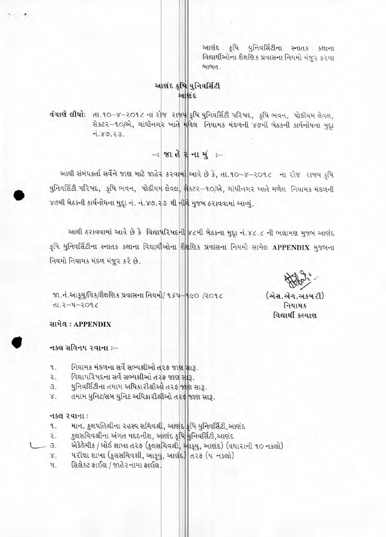આશંદ કૃષિ યુનિવર્સિટીના સ્નાતક કક્ષાના વિદ્યાર્થીઓના શૈક્ષણિક પ્રવાસના નિયમો મંજુર કરવા બાબત

# આશંદ કૃષિ યુનિવર્સિટી આશંદ

વંચાણે લીધો: તા.૧૦-૪-૨૦૧૮ નાં રોજ રાજ્ય કૃષિ યુનિવર્સિટી પરિષદ, કૃષિ ભવન, પોડીયમ લેવલ, से sz - 10/22, ગાંધીનગર ખાતે મળેલ નિયામક મંડળની ૪૭મી બેઠકની કાર્યનોધના મુદ્દા  $7.89.23.$ 

 $-$ : જાહેરનામું :-

આથી સંબંધકર્તા સર્વેને જાણ માટે જાહેર કરવામાં આવે છે કે, તા.૧૦-૪-૨૦૧૮ ના રોજ રાજય કૃષિ યુનિવર્સિટી પરિષદ, કૃષિ ભવન, પોડીયમ લેવલ, મેકટર-૧૦/એ, ગાંધીનગર ખાતે મળેલ નિયામક મંડળની ૪૭મી બેઠકની કાર્યનોધના મુદ્દા નં. નં.૪૭.૨૩ થી નીચે મુજબ ઠરાવવામાં આવ્યું.

આથી ઠરાવવામાં આવે છે કે વિદ્યાપરિષદની ૪૮મી બેઠકના મુદ્દા નં.૪૮.૮ ની ભલામણ મુજબ આણંદ કૃષિ યુનિવર્સિટીના સ્નાતક કક્ષાના વિદ્યાર્થીઓના શૈક્ષણિક પ્રવાસના નિયમો સામેલ APPENDIX મુજબના નિયમો નિયામક મંડળ મંજૂર કરે છે.

(એસ.એચ.અકબરી)

નિયામક વિદ્યાર્થી કલ્યાણ

જા.નં.આકૃયુ/વિક/શૈક્ષણિક પ્રવાસના નિયમો/ ૧૬૫-૧૯૦ /૨૦૧૮  $3.905 - 4 - 3.1h$ 

સામેલ: APPENDIX

### नड़स सविनय २ वाना :-

- નિયામક મંડળના સર્વે સભ્યશ્રીઓ તરફ જાણ સારૂ. ٩.
- વિદ્યાપરિષદના સર્વે સભ્યશ્રીઓ તરફ જાણ સારૂ. ₹.
- યુનિવર્સિટીના તમામ અધિકારીશ્રીઓ તરફ જાણ સારૂ. З.
- તમામ યુનિટ/સબ યુનિટ અધિકારીશ્રીઓ તરફ જાણ સારૂ. χ.

#### નકલ રવાના:

- માન. કુલપતિશ્રીના ૨હસ્ય સચિવશ્રી, આણંદ કૃષિ યુનિવર્સિટી,આણંદ ٩.
- કુલસચિવશ્રીના અંગત મદદનીશ, આણંદ કૃષિ મુનિવર્સિટી,આણંદ ₹.
- એકેકેમીક / બોર્ડ શાખા ત૨ફ (કુલસચિવશ્રી, આકૃયુ, આણંદ) (વધારાની ૧૦ નકલો) 3.
- परीक्षा शाખા (કુલસચિવશ્રી, આકૃયુ, આણંદ) તરફ (૫ નકલો)  $\times$ .
- સિલેકટ ફાઈલ / જાહેરનામા ફાઈલ. પ.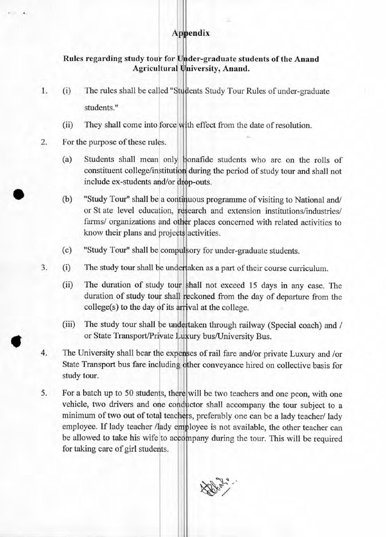### Appendix

## Rules regarding study tour for Under-graduate students of the Anand Agricultural University, Anand.

- 1. (i) The rules shall be called "Students Study Tour Rules of under-graduate students."
	- (ii) They shall come into force with effect from the date of resolution.
- 2. For the purpose of these rules.
	- (a) Students shall mean only bonafide students who are on the rolls of constituent college/institution during the period of study tour and shall not include ex-students and/or drop-outs.
	- (b) "Study Tour" shall be a continuous programme of visiting to National and/ or St ate level education, research and extension institutions/industries/ farms/ organizations and other places concerned with related activities to know their plans and projects activities.
	- (c) "Study Tour" shall be compulsory for under-graduate students.
- 3. (i) The study tour shall be undertaken as a part of their course curriculum.
	- (ii) The duration of study tour shall not exceed 15 days in any case. The duration of study tour shall reckoned from the day of departure from the  $college(s)$  to the day of its arrival at the college.
	- (iii) The study tour shall be undertaken through railway (Special coach) and / or State Transport/Private Luxury bus/University Bus.
- 4. The University shall bear the expenses of rail fare and/or private Luxury and /or State Transport bus fare including other conveyance hired on collective basis for study tour.
- 5. For a batch up to 50 students, there will be two teachers and one peon, with one vehicle, two drivers and one conductor shall accompany the tour subject to a minimum of two out of total teachers, preferably one can be a lady teacher/ lady employee. If lady teacher /lady employee is not available, the other teacher can be allowed to take his wife to accompany during the tour. This will be required for taking care of girl students.